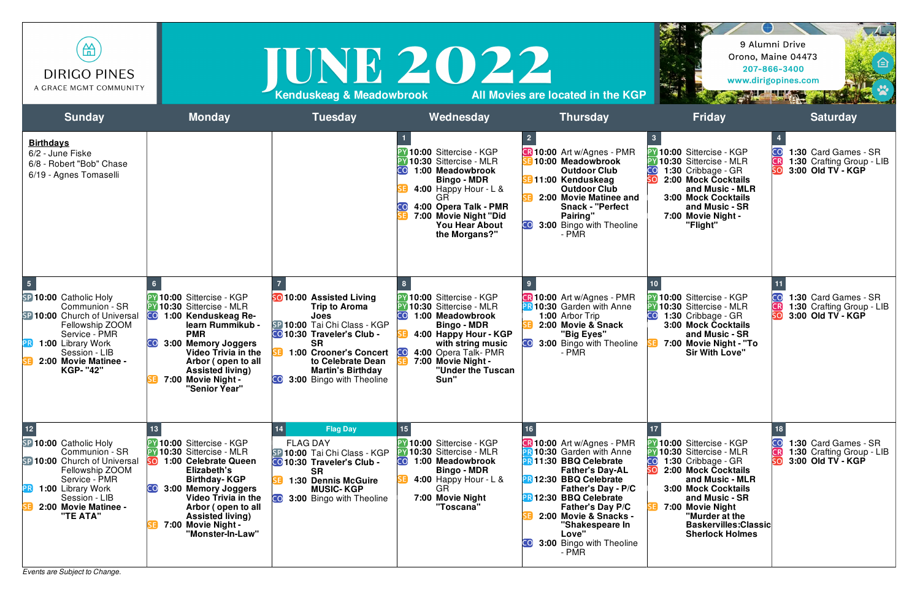| 笽<br><b>DIRIGO PINES</b><br>A GRACE MGMT COMMUNITY                                                                                                                                                                   |                                                                                                                                                                                                                                                                                                 | IUNE 2022<br>Kenduskeag & Meadowbrook                                                                                                                                                                                                                                    |                                                                                                                                                                                                                                                          | All Movies are located in the KGP                                                                                                                                                                                                                                                                                           |                                                                                                                                                                                                                                                                                                     | $\sqrt{4}$<br>9 Alumni Drive<br>Orono, Maine 04473<br>207-866-3400<br>www.dirigopines.com<br><b>All The Little Service</b> |
|----------------------------------------------------------------------------------------------------------------------------------------------------------------------------------------------------------------------|-------------------------------------------------------------------------------------------------------------------------------------------------------------------------------------------------------------------------------------------------------------------------------------------------|--------------------------------------------------------------------------------------------------------------------------------------------------------------------------------------------------------------------------------------------------------------------------|----------------------------------------------------------------------------------------------------------------------------------------------------------------------------------------------------------------------------------------------------------|-----------------------------------------------------------------------------------------------------------------------------------------------------------------------------------------------------------------------------------------------------------------------------------------------------------------------------|-----------------------------------------------------------------------------------------------------------------------------------------------------------------------------------------------------------------------------------------------------------------------------------------------------|----------------------------------------------------------------------------------------------------------------------------|
| <b>Sunday</b>                                                                                                                                                                                                        | <b>Monday</b>                                                                                                                                                                                                                                                                                   | <b>Tuesday</b>                                                                                                                                                                                                                                                           | Wednesday                                                                                                                                                                                                                                                | <b>Thursday</b>                                                                                                                                                                                                                                                                                                             | <b>Friday</b>                                                                                                                                                                                                                                                                                       | <b>Saturday</b>                                                                                                            |
| <b>Birthdays</b><br>6/2 - June Fiske<br>6/8 - Robert "Bob" Chase<br>6/19 - Agnes Tomaselli                                                                                                                           |                                                                                                                                                                                                                                                                                                 |                                                                                                                                                                                                                                                                          | <sup>2</sup> Y 10:00 Sittercise - KGP<br>10:30 Sittercise - MLR<br>1:00 Meadowbrook<br><b>Bingo - MDR</b><br>4:00 Happy Hour - $L$ &<br>4:00 Opera Talk - PMR<br>7:00 Movie Night "Did<br><b>You Hear About</b><br>the Morgans?"                         | <b>B</b> 10:00 Art w/Agnes - PMR<br>10:00 Meadowbrook<br><b>Outdoor Club</b><br><b>B</b> 11:00 Kenduskeag<br><b>Outdoor Club</b><br>2:00 Movie Matinee and<br><b>Snack - "Perfect</b><br>Pairing"<br>3:00 Bingo with Theoline<br>- PMR                                                                                      | <sup>2</sup> 10:00 Sittercise - KGP<br>10:30 Sittercise - MLR<br>1:30 Cribbage - GR<br>2:00 Mock Cocktails<br>and Music - MLR<br><b>3:00 Mock Cocktails</b><br>and Music - SR<br>7:00 Movie Night -<br>"Flight"                                                                                     | 1:30 Card Games - SR<br>CO<br>1:30 Crafting Group - LIB<br>CR<br>3:00 Old TV - KGP                                         |
| $\sqrt{5}$<br>SP 10:00 Catholic Holy<br>Communion - SR<br>SP 10:00 Church of Universal<br>Fellowship ZOOM<br>Service - PMR<br>1:00 Library Work<br> PR <br>Session - LIB<br>2:00 Movie Matinee -<br><b>KGP- "42"</b> | <b>PY 10:00 Sittercise - KGP</b><br><b>PY 10:30 Sittercise - MLR</b><br>1:00 Kenduskeag Re-<br>learn Rummikub -<br><b>PMR</b><br>3:00 Memory Joggers<br>Video Trivia in the<br>Arbor (open to all<br><b>Assisted living)</b><br>7:00 Movie Night -<br>"Senior Year"                             | <b>SO</b> 10:00 Assisted Living<br><b>Trip to Aroma</b><br>Joes<br>SP 10:00 Tai Chi Class - KGP<br>CO 10:30 Traveler's Club -<br><b>SR</b><br><b>1:00 Crooner's Concert</b><br>to Celebrate Dean<br><b>Martin's Birthday</b><br>3:00 Bingo with Theoline<br>CO <b>CO</b> | <sup>2</sup> Y 10:00 Sittercise - KGP<br><b>PY 10:30 Sittercise - MLR</b><br>CO<br>1:00 Meadowbrook<br><b>Bingo - MDR</b><br>4:00 Happy Hour - KGP<br>with string music<br>4:00 Opera Talk-PMR<br>CO,<br>7:00 Movie Night -<br>"Under the Tuscan<br>Sun" | <b>R 10:00</b> Art w/Agnes - PMR<br>10:30 Garden with Anne<br>1:00 Arbor Trip<br>2:00 Movie & Snack<br>"Big Eyes"<br>3:00 Bingo with Theoline<br>- PMR                                                                                                                                                                      | 10:00 Sittercise - KGP<br>10:30 Sittercise - MLR<br>1:30 Cribbage - GR<br>CO<br><b>3:00 Mock Cocktails</b><br>and Music - SR<br>7:00 Movie Night - "To<br><b>Sir With Love"</b>                                                                                                                     | 1:30 Card Games - SR<br>CO<br>CR<br>1:30 Crafting Group - LIB<br>3:00 Old TV - KGP                                         |
| $12$<br>SP 10:00 Catholic Holy<br>Communion - SR<br>SP 10:00 Church of Universal<br>Fellowship ZOOM<br>Service - PMR<br>1:00 Library Work<br>[PR]<br>Session - LIB<br>2:00 Movie Matinee -<br>"TE ATA"               | <b>PY 10:00 Sittercise - KGP</b><br><b>PY 10:30 Sittercise - MLR</b><br>1:00 Celebrate Queen<br><b>SO</b><br>Elizabeth's<br><b>Birthday-KGP</b><br>3:00 Memory Joggers<br><b>Video Trivia in the</b><br>Arbor (open to all<br><b>Assisted living)</b><br>7:00 Movie Night -<br>"Monster-In-Law" | <b>Flag Day</b><br>14 <sup>°</sup><br><b>FLAG DAY</b><br>SP 10:00 Tai Chi Class - KGP<br><b>CO</b> 10:30 Traveler's Club -<br><b>SR</b><br>1:30 Dennis McGuire<br><b>MUSIC-KGP</b><br>3:00 Bingo with Theoline<br>COL                                                    | PY 10:00 Sittercise - KGP<br><b>PY 10:30 Sittercise - MLR</b><br>CO <sub>.</sub><br>1:00 Meadowbrook<br><b>Bingo - MDR</b><br>4:00 Happy Hour - $L$ &<br><b>GR</b><br>7:00 Movie Night<br>"Toscana"                                                      | <b>CR 10:00</b> Art w/Agnes - PMR<br>10:30 Garden with Anne<br><b>PR 11:30 BBQ Celebrate</b><br><b>Father's Day-AL</b><br><b>PR12:30 BBQ Celebrate</b><br>Father's Day - P/C<br>PR 12:30 BBQ Celebrate<br><b>Father's Day P/C</b><br>2:00 Movie & Snacks -<br>"Shakespeare In<br>Love"<br>3:00 Bingo with Theoline<br>- PMR | <sup>2</sup> 10:00 Sittercise - KGP<br><b>PY 10:30 Sittercise - MLR</b><br>1:30 Cribbage - GR<br><b>CO</b><br>2:00 Mock Cocktails<br>and Music - MLR<br><b>3:00 Mock Cocktails</b><br>and Music - SR<br>7:00 Movie Night<br>"Murder at the<br><b>Baskervilles:Classic</b><br><b>Sherlock Holmes</b> | $\overline{\mathsf{co}}$<br>1:30 Card Games - SR<br>CR<br>1:30 Crafting Group - LIB<br>SO<br>3:00 Old TV - KGP             |